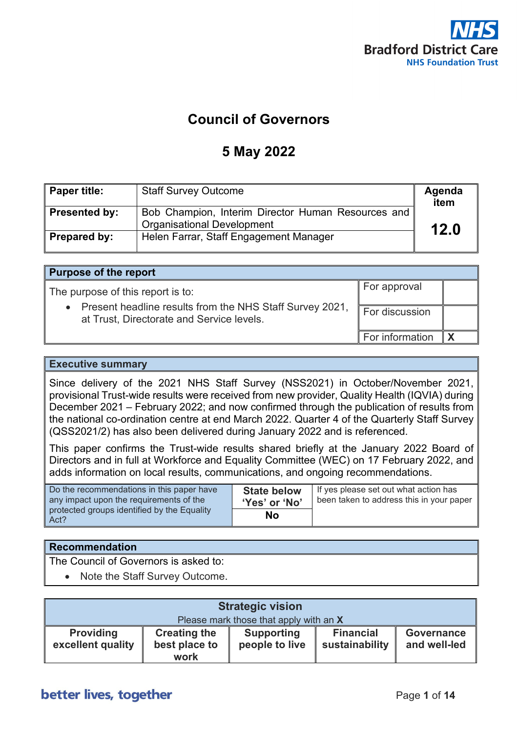

For approval

# **Council of Governors**

# **5 May 2022**

| Paper title:  | <b>Staff Survey Outcome</b>                                                             | Agenda<br>item |
|---------------|-----------------------------------------------------------------------------------------|----------------|
| Presented by: | Bob Champion, Interim Director Human Resources and<br><b>Organisational Development</b> | 12.0           |
| Prepared by:  | Helen Farrar, Staff Engagement Manager                                                  |                |

#### **Purpose of the report**

The purpose of this report is to:

| • Present headline results from the NHS Staff Survey 2021,<br>at Trust, Directorate and Service levels. | For discussion               |  |
|---------------------------------------------------------------------------------------------------------|------------------------------|--|
|                                                                                                         | For information $\mathbf{X}$ |  |

#### **Executive summary**

Since delivery of the 2021 NHS Staff Survey (NSS2021) in October/November 2021, provisional Trust-wide results were received from new provider, Quality Health (IQVIA) during December 2021 – February 2022; and now confirmed through the publication of results from the national co-ordination centre at end March 2022. Quarter 4 of the Quarterly Staff Survey (QSS2021/2) has also been delivered during January 2022 and is referenced.

This paper confirms the Trust-wide results shared briefly at the January 2022 Board of Directors and in full at Workforce and Equality Committee (WEC) on 17 February 2022, and adds information on local results, communications, and ongoing recommendations.

| Do the recommendations in this paper have           | <b>State below</b> | If yes please set out what action has    |
|-----------------------------------------------------|--------------------|------------------------------------------|
| any impact upon the requirements of the             | 'Yes' or 'No'      | been taken to address this in your paper |
| protected groups identified by the Equality<br>Act? | No                 |                                          |

#### **Recommendation**

The Council of Governors is asked to:

• Note the Staff Survey Outcome.

| <b>Strategic vision</b>               |                                              |                                        |                                    |                                   |
|---------------------------------------|----------------------------------------------|----------------------------------------|------------------------------------|-----------------------------------|
|                                       |                                              | Please mark those that apply with an X |                                    |                                   |
| <b>Providing</b><br>excellent quality | <b>Creating the</b><br>best place to<br>work | <b>Supporting</b><br>people to live    | <b>Financial</b><br>sustainability | <b>Governance</b><br>and well-led |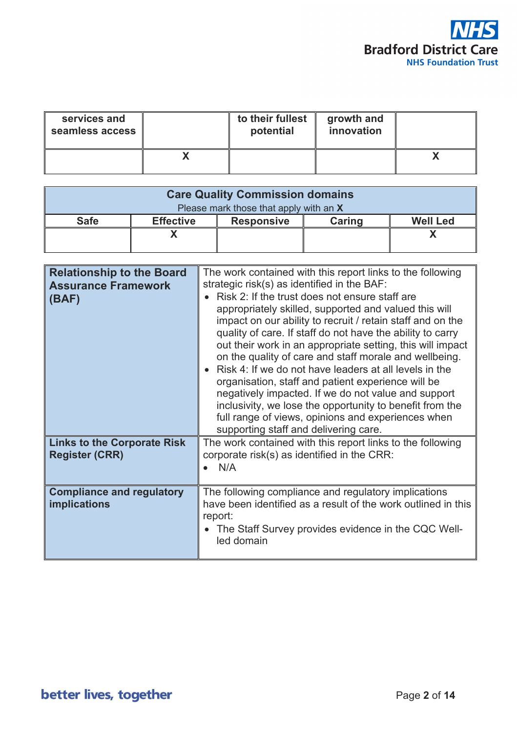

| services and<br>seamless access | to their fullest<br>potential | growth and<br>innovation |  |
|---------------------------------|-------------------------------|--------------------------|--|
|                                 |                               |                          |  |

| <b>Care Quality Commission domains</b> |                                                                    |  |  |  |  |
|----------------------------------------|--------------------------------------------------------------------|--|--|--|--|
| Please mark those that apply with an X |                                                                    |  |  |  |  |
| <b>Safe</b>                            | Caring<br><b>Well Led</b><br><b>Effective</b><br><b>Responsive</b> |  |  |  |  |
|                                        |                                                                    |  |  |  |  |
|                                        |                                                                    |  |  |  |  |

| <b>Relationship to the Board</b><br><b>Assurance Framework</b><br>(BAF) | The work contained with this report links to the following<br>strategic risk(s) as identified in the BAF:<br>Risk 2: If the trust does not ensure staff are<br>appropriately skilled, supported and valued this will<br>impact on our ability to recruit / retain staff and on the<br>quality of care. If staff do not have the ability to carry<br>out their work in an appropriate setting, this will impact<br>on the quality of care and staff morale and wellbeing.<br>Risk 4: If we do not have leaders at all levels in the<br>organisation, staff and patient experience will be<br>negatively impacted. If we do not value and support<br>inclusivity, we lose the opportunity to benefit from the<br>full range of views, opinions and experiences when<br>supporting staff and delivering care. |
|-------------------------------------------------------------------------|------------------------------------------------------------------------------------------------------------------------------------------------------------------------------------------------------------------------------------------------------------------------------------------------------------------------------------------------------------------------------------------------------------------------------------------------------------------------------------------------------------------------------------------------------------------------------------------------------------------------------------------------------------------------------------------------------------------------------------------------------------------------------------------------------------|
| <b>Links to the Corporate Risk</b><br><b>Register (CRR)</b>             | The work contained with this report links to the following<br>corporate risk(s) as identified in the CRR:<br>N/A                                                                                                                                                                                                                                                                                                                                                                                                                                                                                                                                                                                                                                                                                           |
| <b>Compliance and regulatory</b><br><b>implications</b>                 | The following compliance and regulatory implications<br>have been identified as a result of the work outlined in this<br>report:<br>The Staff Survey provides evidence in the CQC Well-<br>led domain                                                                                                                                                                                                                                                                                                                                                                                                                                                                                                                                                                                                      |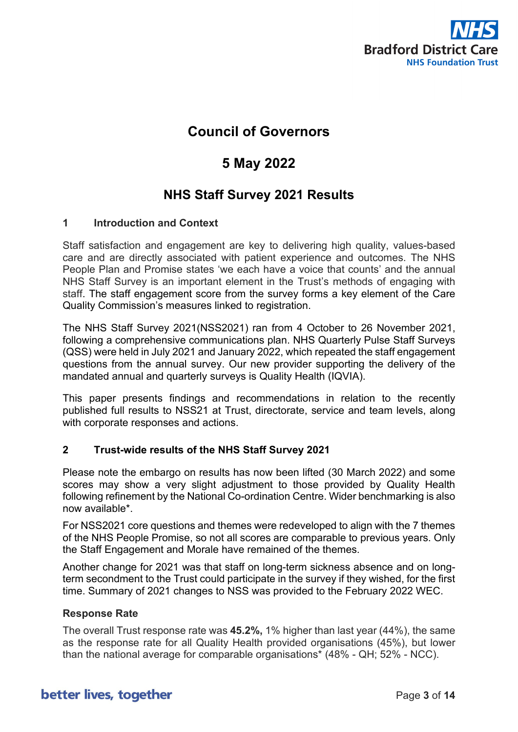

# **Council of Governors**

# **5 May 2022**

# **NHS Staff Survey 2021 Results**

#### **1 Introduction and Context**

Staff satisfaction and engagement are key to delivering high quality, values-based care and are directly associated with patient experience and outcomes. The NHS People Plan and Promise states 'we each have a voice that counts' and the annual NHS Staff Survey is an important element in the Trust's methods of engaging with staff. The staff engagement score from the survey forms a key element of the Care Quality Commission's measures linked to registration.

The NHS Staff Survey 2021(NSS2021) ran from 4 October to 26 November 2021, following a comprehensive communications plan. NHS Quarterly Pulse Staff Surveys (QSS) were held in July 2021 and January 2022, which repeated the staff engagement questions from the annual survey. Our new provider supporting the delivery of the mandated annual and quarterly surveys is Quality Health (IQVIA).

This paper presents findings and recommendations in relation to the recently published full results to NSS21 at Trust, directorate, service and team levels, along with corporate responses and actions.

### **2 Trust-wide results of the NHS Staff Survey 2021**

Please note the embargo on results has now been lifted (30 March 2022) and some scores may show a very slight adjustment to those provided by Quality Health following refinement by the National Co-ordination Centre. Wider benchmarking is also now available\*.

For NSS2021 core questions and themes were redeveloped to align with the 7 themes of the NHS [People Promise,](https://www.england.nhs.uk/ournhspeople/online-version/lfaop/our-nhs-people-promise/) so not all scores are comparable to previous years. Only the Staff Engagement and Morale have remained of the themes.

Another change for 2021 was that staff on long-term sickness absence and on longterm secondment to the Trust could participate in the survey if they wished, for the first time. Summary of 2021 changes to NSS was provided to the February 2022 WEC.

#### **Response Rate**

The overall Trust response rate was **45.2%,** 1% higher than last year (44%), the same as the response rate for all Quality Health provided organisations (45%), but lower than the national average for comparable organisations\* (48% - QH; 52% - NCC).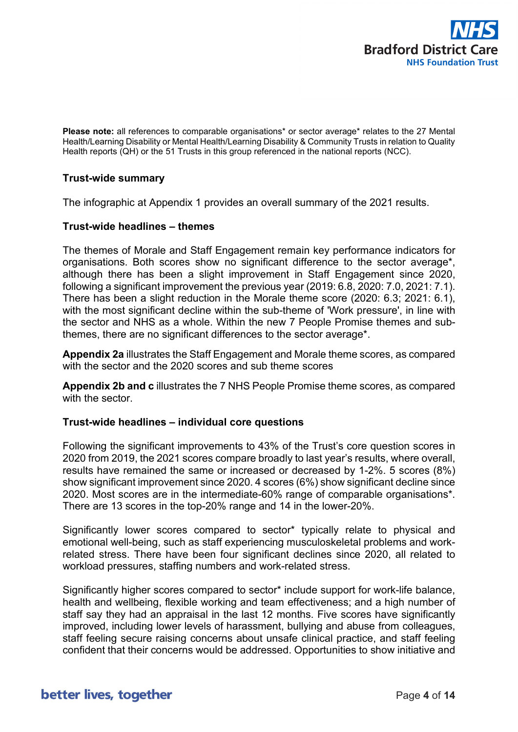

**Please note:** all references to comparable organisations\* or sector average\* relates to the 27 Mental Health/Learning Disability or Mental Health/Learning Disability & Community Trusts in relation to Quality Health reports (QH) or the 51 Trusts in this group referenced in the national reports (NCC).

#### **Trust-wide summary**

The infographic at Appendix 1 provides an overall summary of the 2021 results.

#### **Trust-wide headlines – themes**

The themes of Morale and Staff Engagement remain key performance indicators for organisations. Both scores show no significant difference to the sector average\*, although there has been a slight improvement in Staff Engagement since 2020, following a significant improvement the previous year (2019: 6.8, 2020: 7.0, 2021: 7.1). There has been a slight reduction in the Morale theme score (2020: 6.3; 2021: 6.1), with the most significant decline within the sub-theme of 'Work pressure', in line with the sector and NHS as a whole. Within the new 7 People Promise themes and subthemes, there are no significant differences to the sector average\*.

**Appendix 2a** illustrates the Staff Engagement and Morale theme scores, as compared with the sector and the 2020 scores and sub theme scores

**Appendix 2b and c** illustrates the 7 NHS People Promise theme scores, as compared with the sector.

#### **Trust-wide headlines – individual core questions**

Following the significant improvements to 43% of the Trust's core question scores in 2020 from 2019, the 2021 scores compare broadly to last year's results, where overall, results have remained the same or increased or decreased by 1-2%. 5 scores (8%) show significant improvement since 2020. 4 scores (6%) show significant decline since 2020. Most scores are in the intermediate-60% range of comparable organisations\*. There are 13 scores in the top-20% range and 14 in the lower-20%.

Significantly lower scores compared to sector\* typically relate to physical and emotional well-being, such as staff experiencing musculoskeletal problems and workrelated stress. There have been four significant declines since 2020, all related to workload pressures, staffing numbers and work-related stress.

Significantly higher scores compared to sector\* include support for work-life balance, health and wellbeing, flexible working and team effectiveness; and a high number of staff say they had an appraisal in the last 12 months. Five scores have significantly improved, including lower levels of harassment, bullying and abuse from colleagues, staff feeling secure raising concerns about unsafe clinical practice, and staff feeling confident that their concerns would be addressed. Opportunities to show initiative and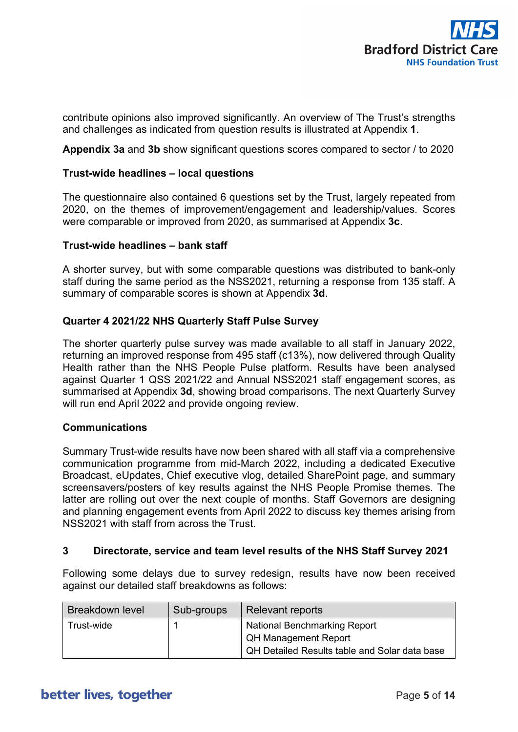

contribute opinions also improved significantly. An overview of The Trust's strengths and challenges as indicated from question results is illustrated at Appendix **1**.

**Appendix 3a** and **3b** show significant questions scores compared to sector / to 2020

#### **Trust-wide headlines – local questions**

The questionnaire also contained 6 questions set by the Trust, largely repeated from 2020, on the themes of improvement/engagement and leadership/values. Scores were comparable or improved from 2020, as summarised at Appendix **3c**.

#### **Trust-wide headlines – bank staff**

A shorter survey, but with some comparable questions was distributed to bank-only staff during the same period as the NSS2021, returning a response from 135 staff. A summary of comparable scores is shown at Appendix **3d**.

#### **Quarter 4 2021/22 NHS Quarterly Staff Pulse Survey**

The shorter quarterly pulse survey was made available to all staff in January 2022, returning an improved response from 495 staff (c13%), now delivered through Quality Health rather than the NHS People Pulse platform. Results have been analysed against Quarter 1 QSS 2021/22 and Annual NSS2021 staff engagement scores, as summarised at Appendix **3d**, showing broad comparisons. The next Quarterly Survey will run end April 2022 and provide ongoing review.

#### **Communications**

Summary Trust-wide results have now been shared with all staff via a comprehensive communication programme from mid-March 2022, including a dedicated Executive Broadcast, eUpdates, Chief executive vlog, detailed SharePoint page, and summary screensavers/posters of key results against the NHS People Promise themes. The latter are rolling out over the next couple of months. Staff Governors are designing and planning engagement events from April 2022 to discuss key themes arising from NSS2021 with staff from across the Trust.

#### **3 Directorate, service and team level results of the NHS Staff Survey 2021**

Following some delays due to survey redesign, results have now been received against our detailed staff breakdowns as follows:

| <b>Breakdown level</b> | Sub-groups | <b>Relevant reports</b>                                                                                             |
|------------------------|------------|---------------------------------------------------------------------------------------------------------------------|
| Trust-wide             |            | <b>National Benchmarking Report</b><br><b>QH Management Report</b><br>QH Detailed Results table and Solar data base |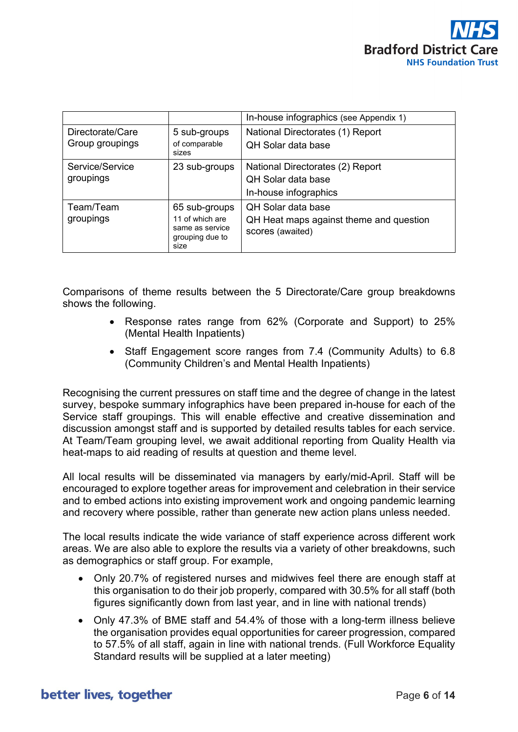

|                                     |                                                                                | In-house infographics (see Appendix 1)                                                 |
|-------------------------------------|--------------------------------------------------------------------------------|----------------------------------------------------------------------------------------|
| Directorate/Care<br>Group groupings | 5 sub-groups<br>of comparable<br>sizes                                         | National Directorates (1) Report<br><b>QH Solar data base</b>                          |
| Service/Service<br>groupings        | 23 sub-groups                                                                  | National Directorates (2) Report<br><b>QH Solar data base</b><br>In-house infographics |
| Team/Team<br>groupings              | 65 sub-groups<br>11 of which are<br>same as service<br>grouping due to<br>size | QH Solar data base<br>QH Heat maps against theme and question<br>scores (awaited)      |

Comparisons of theme results between the 5 Directorate/Care group breakdowns shows the following.

- Response rates range from 62% (Corporate and Support) to 25% (Mental Health Inpatients)
- Staff Engagement score ranges from 7.4 (Community Adults) to 6.8 (Community Children's and Mental Health Inpatients)

Recognising the current pressures on staff time and the degree of change in the latest survey, bespoke summary infographics have been prepared in-house for each of the Service staff groupings. This will enable effective and creative dissemination and discussion amongst staff and is supported by detailed results tables for each service. At Team/Team grouping level, we await additional reporting from Quality Health via heat-maps to aid reading of results at question and theme level.

All local results will be disseminated via managers by early/mid-April. Staff will be encouraged to explore together areas for improvement and celebration in their service and to embed actions into existing improvement work and ongoing pandemic learning and recovery where possible, rather than generate new action plans unless needed.

The local results indicate the wide variance of staff experience across different work areas. We are also able to explore the results via a variety of other breakdowns, such as demographics or staff group. For example,

- Only 20.7% of registered nurses and midwives feel there are enough staff at this organisation to do their job properly, compared with 30.5% for all staff (both figures significantly down from last year, and in line with national trends)
- Only 47.3% of BME staff and 54.4% of those with a long-term illness believe the organisation provides equal opportunities for career progression, compared to 57.5% of all staff, again in line with national trends. (Full Workforce Equality Standard results will be supplied at a later meeting)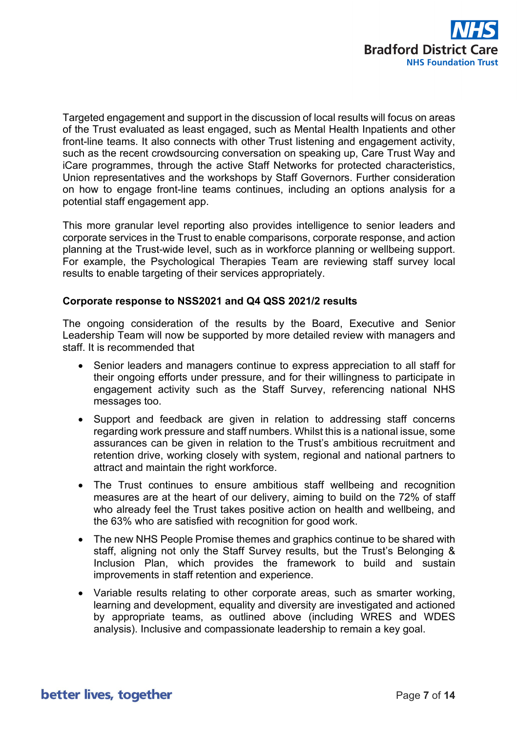

Targeted engagement and support in the discussion of local results will focus on areas of the Trust evaluated as least engaged, such as Mental Health Inpatients and other front-line teams. It also connects with other Trust listening and engagement activity, such as the recent crowdsourcing conversation on speaking up, Care Trust Way and iCare programmes, through the active Staff Networks for protected characteristics, Union representatives and the workshops by Staff Governors. Further consideration on how to engage front-line teams continues, including an options analysis for a potential staff engagement app.

This more granular level reporting also provides intelligence to senior leaders and corporate services in the Trust to enable comparisons, corporate response, and action planning at the Trust-wide level, such as in workforce planning or wellbeing support. For example, the Psychological Therapies Team are reviewing staff survey local results to enable targeting of their services appropriately.

#### **Corporate response to NSS2021 and Q4 QSS 2021/2 results**

The ongoing consideration of the results by the Board, Executive and Senior Leadership Team will now be supported by more detailed review with managers and staff. It is recommended that

- Senior leaders and managers continue to express appreciation to all staff for their ongoing efforts under pressure, and for their willingness to participate in engagement activity such as the Staff Survey, referencing national NHS messages too.
- Support and feedback are given in relation to addressing staff concerns regarding work pressure and staff numbers. Whilst this is a national issue, some assurances can be given in relation to the Trust's ambitious recruitment and retention drive, working closely with system, regional and national partners to attract and maintain the right workforce.
- The Trust continues to ensure ambitious staff wellbeing and recognition measures are at the heart of our delivery, aiming to build on the 72% of staff who already feel the Trust takes positive action on health and wellbeing, and the 63% who are satisfied with recognition for good work.
- The new NHS People Promise themes and graphics continue to be shared with staff, aligning not only the Staff Survey results, but the Trust's Belonging & Inclusion Plan, which provides the framework to build and sustain improvements in staff retention and experience.
- Variable results relating to other corporate areas, such as smarter working, learning and development, equality and diversity are investigated and actioned by appropriate teams, as outlined above (including WRES and WDES analysis). Inclusive and compassionate leadership to remain a key goal.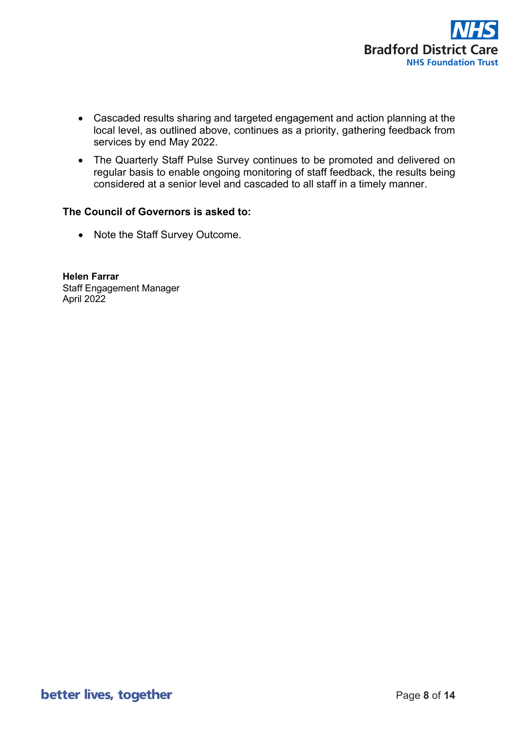

- Cascaded results sharing and targeted engagement and action planning at the local level, as outlined above, continues as a priority, gathering feedback from services by end May 2022.
- The Quarterly Staff Pulse Survey continues to be promoted and delivered on regular basis to enable ongoing monitoring of staff feedback, the results being considered at a senior level and cascaded to all staff in a timely manner.

#### **The Council of Governors is asked to:**

• Note the Staff Survey Outcome.

**Helen Farrar** Staff Engagement Manager April 2022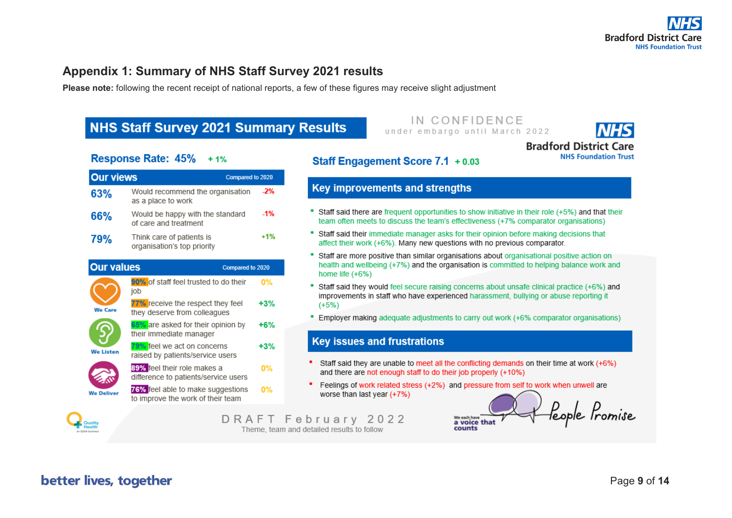### **Appendix 1: Summary of NHS Staff Survey 2021 results**

**Please note:** following the recent receipt of national reports, a few of these figures may receive slight adjustment

# **NHS Staff Survey 2021 Summary Results**

#### IN CONFIDENCE under embargo until March 2022



**NHS Foundation Trust** 

feople Promise

### Response Rate: 45% +1%

| <b>Our views</b>  | Compared to 2020                                                       |       |
|-------------------|------------------------------------------------------------------------|-------|
| 63%               | Would recommend the organisation<br>as a place to work                 | $-2%$ |
| 66%               | Would be happy with the standard<br>of care and treatment              | $-1%$ |
| 79%               | Think care of patients is<br>organisation's top priority               | $+1%$ |
| <b>Our values</b> | Compared to 2020                                                       |       |
|                   | 90% of staff feel trusted to do their<br>job                           | 0%    |
| <b>We Care</b>    | 77% receive the respect they feel<br>they deserve from colleagues      | $+3%$ |
|                   | 65% are asked for their opinion by<br>their immediate manager          | $+6%$ |
| <b>We Listen</b>  | 79% feel we act on concerns<br>raised by patients/service users        | $+3%$ |
|                   | 89% feel their role makes a<br>difference to patients/service users    | 0%    |
| <b>We Deliver</b> | 76% feel able to make suggestions<br>to improve the work of their team | 0%    |
| Quality           | DRAFT                                                                  |       |

### Staff Engagement Score 7.1 + 0.03

### **Key improvements and strengths**

- Staff said there are frequent opportunities to show initiative in their role (+5%) and that their team often meets to discuss the team's effectiveness (+7% comparator organisations)
- Staff said their immediate manager asks for their opinion before making decisions that affect their work (+6%). Many new questions with no previous comparator.
- Staff are more positive than similar organisations about organisational positive action on health and wellbeing (+7%) and the organisation is committed to helping balance work and home life  $(+6%)$
- Staff said they would feel secure raising concerns about unsafe clinical practice (+6%) and improvements in staff who have experienced harassment, bullying or abuse reporting it  $(+5%)$
- Employer making adequate adjustments to carry out work (+6% comparator organisations)

#### **Key issues and frustrations**

- Staff said they are unable to meet all the conflicting demands on their time at work (+6%) and there are not enough staff to do their job properly (+10%)
- Feelings of work related stress (+2%) and pressure from self to work when unwell are worse than last year (+7%)

We each have<br>a voice that

counts

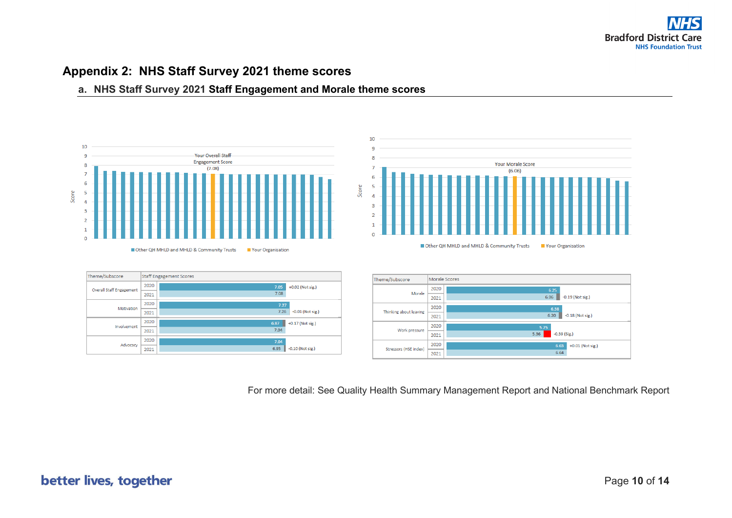### **Appendix 2: NHS Staff Survey 2021 theme scores**

#### **a. NHS Staff Survey 2021 Staff Engagement and Morale theme scores**



For more detail: See Quality Health Summary Management Report and National Benchmark Report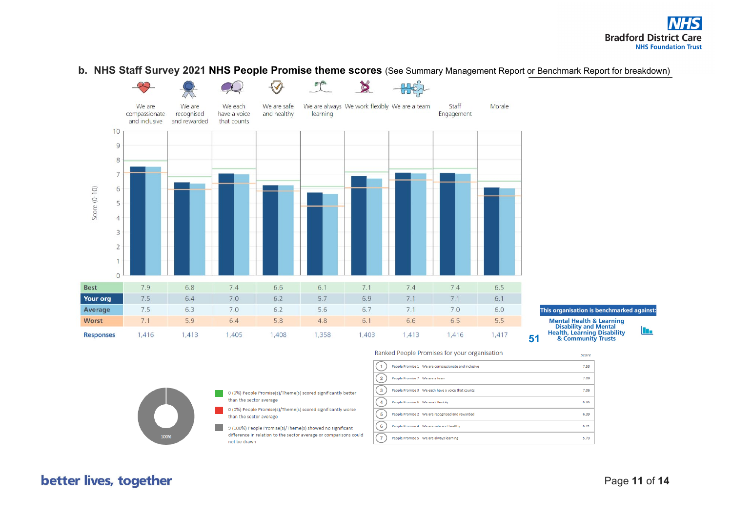#### **b. NHS Staff Survey 2021 NHS People Promise theme scores** (See Summary Management Report or Benchmark Report for breakdown)



**Mental Health & Learning** 

**Disability and Mental Health, Learning Disability** & Community Trusts

**In** 

- 0 (0%) People Promise(s)/Theme(s) scored significantly better than the sector average
- 0 (0%) People Promise(s)/Theme(s) scored significantly worse than the sector average
- 9 (100%) People Promise(s)/Theme(s) showed no significant difference in relation to the sector average or comparisons could not be drawn

#### Score  $(1)$ People Promise 1 We are compassionate and inclusive 7.53  $\binom{2}{3}$ 7.09 People Promise 7 We are a team  $\binom{3}{}$ People Promise 3 We each have a voice that counts 7.06  $\binom{4}{}$ People Promise 6 We work flexibly 6.86  $(5)$ eople Promise 2 We are recognised and rewarded 6.39  $(6)$ People Promise 4 We are safe and healthy  $6.21$  $\sqrt{7}$ People Promise 5 We are always learning 5.73

Ranked People Promises for your organisation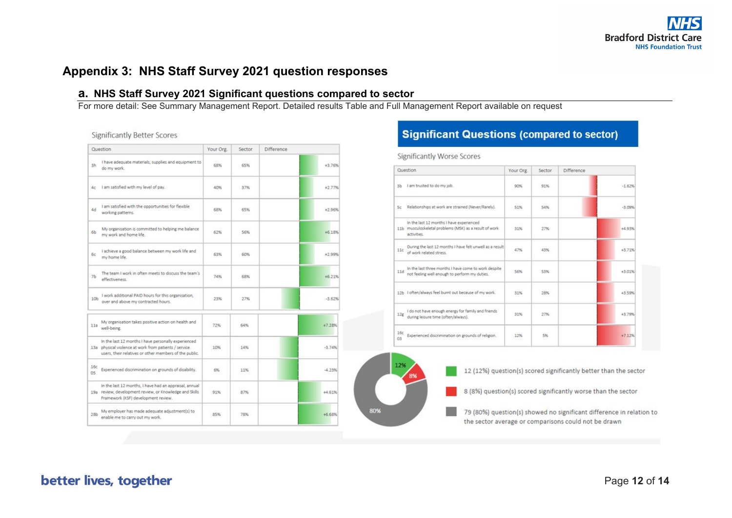### **Appendix 3: NHS Staff Survey 2021 question responses**

#### **a. NHS Staff Survey 2021 Significant questions compared to sector**

For more detail: See Summary Management Report. Detailed results Table and Full Management Report available on request

**Significantly Better Scores** 

|                 | Question                                                                                                                                                               | Your Org. | Sector | <b>Difference</b> |
|-----------------|------------------------------------------------------------------------------------------------------------------------------------------------------------------------|-----------|--------|-------------------|
| 3h              | I have adequate materials, supplies and equipment to<br>do my work.                                                                                                    | 68%       | 65%    | $+3.76%$          |
| 4с              | I am satisfied with my level of pay.                                                                                                                                   | 40%       | 37%    | $+2.77%$          |
| 4d              | I am satisfied with the opportunities for flexible<br>working patterns.                                                                                                | 68%       | 65%    | $+2.96%$          |
| 6b              | My organisation is committed to helping me balance<br>my work and home life.                                                                                           | 62%       | 56%    | $+6.18%$          |
| бc              | I achieve a good balance between my work life and<br>my home life.                                                                                                     | 63%       | 60%    | $+2.99%$          |
| 7 <sub>b</sub>  | The team I work in often meets to discuss the team's<br>effectiveness.                                                                                                 | 74%       | 68%    | $+6.21%$          |
| 10 <sub>b</sub> | I work additional PAID hours for this organisation,<br>over and above my contracted hours.                                                                             | 23%       | 27%    | $-3.62%$          |
| 11a             | My organisation takes positive action on health and<br>well-being.                                                                                                     | 72%       | 64%    | $+7.28%$          |
|                 | In the last 12 months I have personally experienced<br>13a physical violence at work from patients / service<br>users, their relatives or other members of the public. | 10%       | 14%    | $-3.74%$          |
| 16c<br>05       | Experienced discrimination on grounds of disability.                                                                                                                   | 6%        | 11%    | $-4.23%$          |
|                 | In the last 12 months, I have had an appraisal, annual<br>19a review, development review, or Knowledge and Skills<br>Framework (KSF) development review.               | 91%       | 87%    | $+4.61%$          |
| 28 <sub>b</sub> | My employer has made adequate adjustment(s) to<br>enable me to carry out my work.                                                                                      | 85%       | 78%    | +6.68%            |

### **Significant Questions (compared to sector)**

**Significantly Worse Scores** 

|           | Question                                                                                                          | Your Org.             | Sector | Difference |
|-----------|-------------------------------------------------------------------------------------------------------------------|-----------------------|--------|------------|
| 3b        | I am trusted to do my job.                                                                                        | 90%                   | 91%    | $-1.62%$   |
| Sc.       | Relationships at work are strained (Never/Rarely).                                                                | 51%                   | 54%    | $-3.09%$   |
|           | In the last 12 months I have experienced<br>11b musculoskeletal problems (MSK) as a result of work<br>activities. | <b>ASSAULT</b><br>31% | 27%    | $+4.93%$   |
| 11c       | During the last 12 months I have felt unwell as a result<br>of work related stress.                               | 47%                   | 43%    | 43.71%     |
| 11d       | In the last three months I have come to work despite<br>not feeling well enough to perform my duties.             | 5,6%                  | 53%    | $+3.01%$   |
|           | 12b I often/always feel burnt out because of my work.                                                             | 31%                   | 28%    | +3.59%     |
| 12g       | I do not have enough energy for family and friends<br>during leisure time (often/always).                         | 31%                   | 27%    | $+3.79%$   |
| 16c<br>O3 | Experienced discrimination on grounds of religion.                                                                | 12%                   | 5%     | $+7.12%$   |



12 (12%) question(s) scored significantly better than the sector

8 (8%) question(s) scored significantly worse than the sector

79 (80%) question(s) showed no significant difference in relation to the sector average or comparisons could not be drawn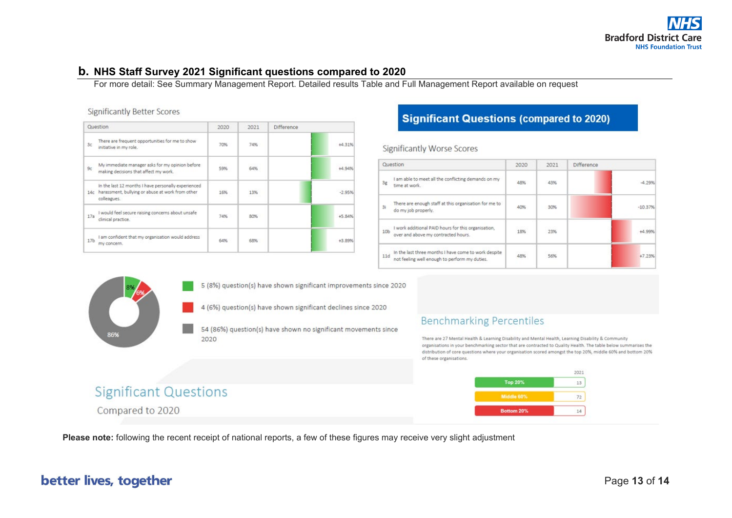#### **b. NHS Staff Survey 2021 Significant questions compared to 2020**

For more detail: See Summary Management Report. Detailed results Table and Full Management Report available on request

| <b>Significantly Better Scores</b> |  |  |
|------------------------------------|--|--|
|------------------------------------|--|--|

| Question        |                                                                                                                        | 2020        | 2021 | Difference |  |
|-----------------|------------------------------------------------------------------------------------------------------------------------|-------------|------|------------|--|
| 3c              | There are frequent opportunities for me to show<br>initiative in my role.                                              | 70%         | 74%  | +4.31%     |  |
| 9c              | My immediate manager asks for my opinion before<br>making decisions that affect my work.                               | 1999<br>59% | 64%  | $+4.94%$   |  |
| 14c             | In the last 12 months I have personally experienced<br>harassment, bullying or abuse at work from other<br>colleagues. | 16%         | 13%  | $-2.95%$   |  |
| 17a             | I would feel secure raising concerns about unsafe<br>clinical practice.                                                | 74%         | 80%  | +5.84%     |  |
| 17 <sub>b</sub> | I am confident that my organisation would address<br>my concern.                                                       | 64%         | 68%  | +3.89%     |  |

### **Significant Questions (compared to 2020)**

**Significantly Worse Scores** 

| Question        |                                                                                                       | 2020           | 2021 | <b>Difference</b> |  |  |
|-----------------|-------------------------------------------------------------------------------------------------------|----------------|------|-------------------|--|--|
| 3e              | I am able to meet all the conflicting demands on my<br>time at work.                                  | 48%            | 43%  | $-4.29%$          |  |  |
| 3i              | There are enough staff at this organisation for me to<br>do my job properly.                          | 40%            | 30%  | $-10.37%$         |  |  |
| 10 <sub>b</sub> | I work additional PAID hours for this organisation,<br>over and above my contracted hours.            | 18%            | 23%  | +4.99%            |  |  |
| 11d             | In the last three months I have come to work despite<br>not feeling well enough to perform my duties. | 952.01e<br>48% | 56%  | $+7.23%$          |  |  |



5 (8%) question(s) have shown significant improvements since 2020

4 (6%) question(s) have shown significant declines since 2020

54 (86%) question(s) have shown no significant movements since 2020

### **Benchmarking Percentiles**

There are 27 Mental Health & Learning Disability and Mental Health, Learning Disability & Community organisations in your benchmarking sector that are contracted to Quality Health. The table below summarises the distribution of core questions where your organisation scored amongst the top 20%, middle 60% and bottom 20% of these organisations.



# **Significant Questions**

Compared to 2020

**Please note:** following the recent receipt of national reports, a few of these figures may receive very slight adjustment